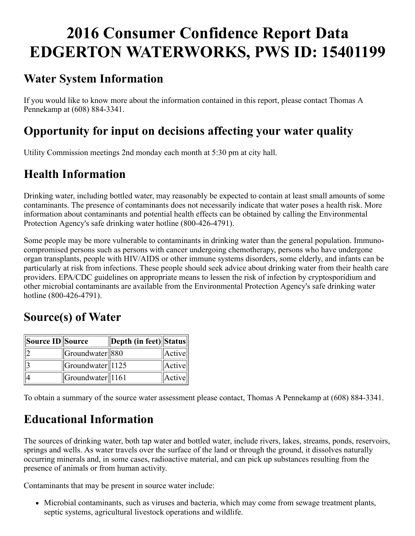# 2016 Consumer Confidence Report Data EDGERTON WATERWORKS, PWS ID: 15401199

### Water System Information

If you would like to know more about the information contained in this report, please contact Thomas A Pennekamp at (608) 8843341.

## Opportunity for input on decisions affecting your water quality

Utility Commission meetings 2nd monday each month at 5:30 pm at city hall.

# Health Information

Drinking water, including bottled water, may reasonably be expected to contain at least small amounts of some contaminants. The presence of contaminants does not necessarily indicate that water poses a health risk. More information about contaminants and potential health effects can be obtained by calling the Environmental Protection Agency's safe drinking water hotline (800-426-4791).

Some people may be more vulnerable to contaminants in drinking water than the general population. Immunocompromised persons such as persons with cancer undergoing chemotherapy, persons who have undergone organ transplants, people with HIV/AIDS or other immune systems disorders, some elderly, and infants can be particularly at risk from infections. These people should seek advice about drinking water from their health care providers. EPA/CDC guidelines on appropriate means to lessen the risk of infection by cryptosporidium and other microbial contaminants are available from the Environmental Protection Agency's safe drinking water hotline (800-426-4791).

### Source(s) of Water

| Source ID Source |                                                                    | Depth (in feet)  Status |        |
|------------------|--------------------------------------------------------------------|-------------------------|--------|
|                  | Groundwater 880                                                    |                         | Active |
|                  | $\left\vert \right\vert$ Groundwater $\left\vert \right\vert$ 1125 |                         | Active |
|                  | $\left\Vert$ Groundwater $\right\Vert$ 1161                        |                         | Active |

To obtain a summary of the source water assessment please contact, Thomas A Pennekamp at (608) 884-3341.

## Educational Information

The sources of drinking water, both tap water and bottled water, include rivers, lakes, streams, ponds, reservoirs, springs and wells. As water travels over the surface of the land or through the ground, it dissolves naturally occurring minerals and, in some cases, radioactive material, and can pick up substances resulting from the presence of animals or from human activity.

Contaminants that may be present in source water include:

• Microbial contaminants, such as viruses and bacteria, which may come from sewage treatment plants, septic systems, agricultural livestock operations and wildlife.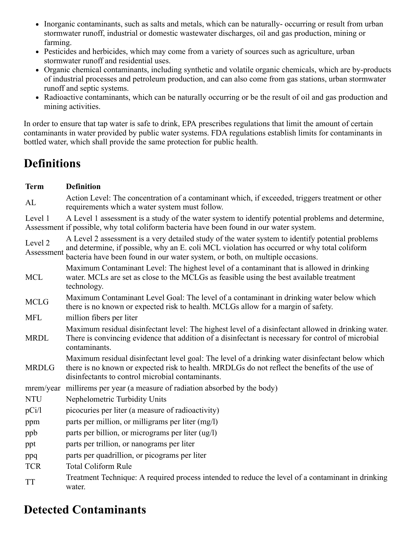- Inorganic contaminants, such as salts and metals, which can be naturally- occurring or result from urban stormwater runoff, industrial or domestic wastewater discharges, oil and gas production, mining or farming.
- Pesticides and herbicides, which may come from a variety of sources such as agriculture, urban stormwater runoff and residential uses.
- Organic chemical contaminants, including synthetic and volatile organic chemicals, which are by-products of industrial processes and petroleum production, and can also come from gas stations, urban stormwater runoff and septic systems.
- Radioactive contaminants, which can be naturally occurring or be the result of oil and gas production and mining activities.

In order to ensure that tap water is safe to drink, EPA prescribes regulations that limit the amount of certain contaminants in water provided by public water systems. FDA regulations establish limits for contaminants in bottled water, which shall provide the same protection for public health.

### **Definitions**

| <b>Term</b>           | <b>Definition</b>                                                                                                                                                                                                                                                                |
|-----------------------|----------------------------------------------------------------------------------------------------------------------------------------------------------------------------------------------------------------------------------------------------------------------------------|
| AL                    | Action Level: The concentration of a contaminant which, if exceeded, triggers treatment or other<br>requirements which a water system must follow.                                                                                                                               |
| Level 1               | A Level 1 assessment is a study of the water system to identify potential problems and determine,<br>Assessment if possible, why total coliform bacteria have been found in our water system.                                                                                    |
| Level 2<br>Assessment | A Level 2 assessment is a very detailed study of the water system to identify potential problems<br>and determine, if possible, why an E. coli MCL violation has occurred or why total coliform<br>bacteria have been found in our water system, or both, on multiple occasions. |
| <b>MCL</b>            | Maximum Contaminant Level: The highest level of a contaminant that is allowed in drinking<br>water. MCLs are set as close to the MCLGs as feasible using the best available treatment<br>technology.                                                                             |
| <b>MCLG</b>           | Maximum Contaminant Level Goal: The level of a contaminant in drinking water below which<br>there is no known or expected risk to health. MCLGs allow for a margin of safety.                                                                                                    |
| <b>MFL</b>            | million fibers per liter                                                                                                                                                                                                                                                         |
| <b>MRDL</b>           | Maximum residual disinfectant level: The highest level of a disinfectant allowed in drinking water.<br>There is convincing evidence that addition of a disinfectant is necessary for control of microbial<br>contaminants.                                                       |
| <b>MRDLG</b>          | Maximum residual disinfectant level goal: The level of a drinking water disinfectant below which<br>there is no known or expected risk to health. MRDLGs do not reflect the benefits of the use of<br>disinfectants to control microbial contaminants.                           |
|                       | mrem/year millirems per year (a measure of radiation absorbed by the body)                                                                                                                                                                                                       |
| <b>NTU</b>            | Nephelometric Turbidity Units                                                                                                                                                                                                                                                    |
| pCi/l                 | picocuries per liter (a measure of radioactivity)                                                                                                                                                                                                                                |
| ppm                   | parts per million, or milligrams per liter (mg/l)                                                                                                                                                                                                                                |
| ppb                   | parts per billion, or micrograms per liter (ug/l)                                                                                                                                                                                                                                |
| ppt                   | parts per trillion, or nanograms per liter                                                                                                                                                                                                                                       |
| ppq                   | parts per quadrillion, or picograms per liter                                                                                                                                                                                                                                    |
| <b>TCR</b>            | <b>Total Coliform Rule</b>                                                                                                                                                                                                                                                       |
| <b>TT</b>             | Treatment Technique: A required process intended to reduce the level of a contaminant in drinking<br>water.                                                                                                                                                                      |

### Detected Contaminants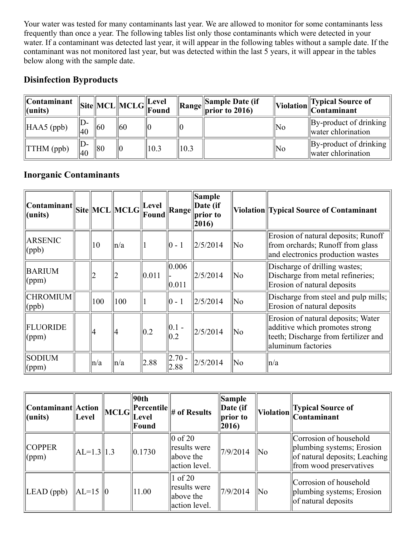Your water was tested for many contaminants last year. We are allowed to monitor for some contaminants less frequently than once a year. The following tables list only those contaminants which were detected in your water. If a contaminant was detected last year, it will appear in the following tables without a sample date. If the contaminant was not monitored last year, but was detected within the last 5 years, it will appear in the tables below along with the sample date.

#### Disinfection Byproducts

| $\mathbb{C}$ ontaminant<br>$\ $ (units) |               |              | $\left\Vert \text{Site} \right\Vert \text{MCL} \left\Vert \text{MCLG} \right\Vert_{\text{Found}}$ |      |      | $\ $ Sample Date (if<br>$\mathcal{A}$   Range   prior to 2016) |                     | $\left\  \text{Violation} \right\ $ Typical Source of Contaminant |
|-----------------------------------------|---------------|--------------|---------------------------------------------------------------------------------------------------|------|------|----------------------------------------------------------------|---------------------|-------------------------------------------------------------------|
| $\parallel$ HAA5 (ppb)                  | $ D -$<br> 40 | $ 60\rangle$ | 160                                                                                               | 10   |      |                                                                | No                  | $\ $ By-product of drinking<br>water chlorination                 |
| $\ TTHM$ (ppb)                          | ID-<br> 40    | 80           | 110                                                                                               | 10.3 | 10.3 |                                                                | $\overline{\rm No}$ | $\ $ By-product of drinking<br>water chlorination                 |

#### Inorganic Contaminants

| $\begin{array}{c} \text{Constant} \\ \text{(Site)} \end{array}$<br>$ $ (units) |         |      | Found                  | <b>Range</b>       | Sample<br>Date (if<br>prior to<br>$ 2016\rangle$ |    | Violation Typical Source of Contaminant                                                                                            |
|--------------------------------------------------------------------------------|---------|------|------------------------|--------------------|--------------------------------------------------|----|------------------------------------------------------------------------------------------------------------------------------------|
| <b>ARSENIC</b><br>$\phi$                                                       | 10      | ln/a |                        | $ 0 - 1 $          | $\frac{25}{2014}$                                | No | Erosion of natural deposits; Runoff<br>from orchards; Runoff from glass<br>and electronics production wastes                       |
| <b>BARIUM</b><br>$\gamma$ (ppm)                                                |         | 2    | 0.011                  | 0.006 <br> 0.011   | 2/5/2014                                         | No | Discharge of drilling wastes;<br>Discharge from metal refineries;<br>Erosion of natural deposits                                   |
| <b>CHROMIUM</b><br>$\vert$ (ppb)                                               | 100     | 100  |                        | $ 0 - 1 $          | $\frac{2}{5}$ /2014                              | No | Discharge from steel and pulp mills;<br>Erosion of natural deposits                                                                |
| FLUORIDE<br>$\gamma$ (ppm)                                                     | 4       | 4    | $\vert\vert 0.2 \vert$ | $ 0.1 -$<br> 0.2   | 2/5/2014                                         | No | Erosion of natural deposits; Water<br>additive which promotes strong<br>teeth; Discharge from fertilizer and<br>aluminum factories |
| <b>SODIUM</b><br>$\gamma$ (ppm)                                                | $\ln/a$ | n/a  | 2.88                   | $ 2.70 -$<br> 2.88 | 2/5/2014                                         | No | $\ln/a$                                                                                                                            |

| $\vert\vert$ Contaminant $\vert\vert$ Action<br>$ $ (units) | Level          | $\left\vert \text{MCLG}\right\vert$ | 90 <sub>th</sub><br>$\ $ Percentile $\ $<br><b>Level</b><br>Found | # of Results                                                  | Sample<br>Date (if<br>prior to<br>$ 2016\rangle$ |                     | Typical Source of<br>$\ $ Violation $\ $ Contaminant                                                            |
|-------------------------------------------------------------|----------------|-------------------------------------|-------------------------------------------------------------------|---------------------------------------------------------------|--------------------------------------------------|---------------------|-----------------------------------------------------------------------------------------------------------------|
| <b>COPPER</b><br>$\gamma$ (ppm)                             | $ AL=1.3  1.3$ |                                     | $\ 0.1730\ $                                                      | $\vert 0$ of 20<br>results were<br>above the<br>action level. | 7/9/2014                                         | $\overline{\rm No}$ | Corrosion of household<br>plumbing systems; Erosion<br>of natural deposits; Leaching<br>from wood preservatives |
| $\parallel$ LEAD (ppb)                                      | $\ AL=15\ 0$   |                                     | 1.00                                                              | $\vert 1$ of 20<br>results were<br>above the<br>action level. | 7/9/2014                                         | No                  | Corrosion of household<br>plumbing systems; Erosion<br>of natural deposits                                      |